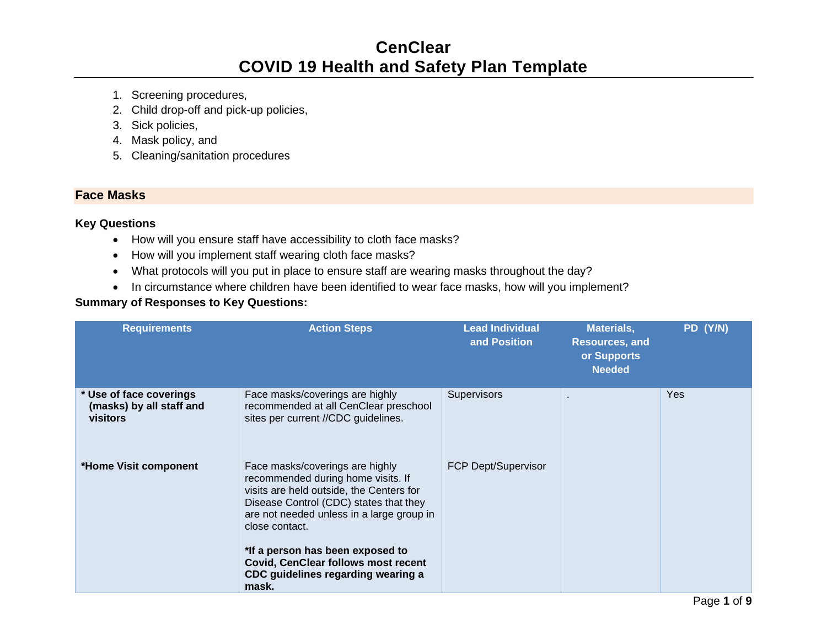# **CenClear COVID 19 Health and Safety Plan Template**

- 1. Screening procedures,
- 2. Child drop-off and pick-up policies,
- 3. Sick policies,
- 4. Mask policy, and
- 5. Cleaning/sanitation procedures

## **Face Masks**

## **Key Questions**

- How will you ensure staff have accessibility to cloth face masks?
- How will you implement staff wearing cloth face masks?
- What protocols will you put in place to ensure staff are wearing masks throughout the day?
- In circumstance where children have been identified to wear face masks, how will you implement?

| <b>Requirements</b>                                             | <b>Action Steps</b>                                                                                                                                                                                                                                                                                                                                         | <b>Lead Individual</b><br>and Position | <b>Materials,</b><br><b>Resources, and</b><br>or Supports<br><b>Needed</b> | PD (Y/N)   |
|-----------------------------------------------------------------|-------------------------------------------------------------------------------------------------------------------------------------------------------------------------------------------------------------------------------------------------------------------------------------------------------------------------------------------------------------|----------------------------------------|----------------------------------------------------------------------------|------------|
| * Use of face coverings<br>(masks) by all staff and<br>visitors | Face masks/coverings are highly<br>recommended at all CenClear preschool<br>sites per current //CDC guidelines.                                                                                                                                                                                                                                             | Supervisors                            | ٠                                                                          | <b>Yes</b> |
| *Home Visit component                                           | Face masks/coverings are highly<br>recommended during home visits. If<br>visits are held outside, the Centers for<br>Disease Control (CDC) states that they<br>are not needed unless in a large group in<br>close contact.<br>*If a person has been exposed to<br><b>Covid, CenClear follows most recent</b><br>CDC guidelines regarding wearing a<br>mask. | <b>FCP Dept/Supervisor</b>             |                                                                            |            |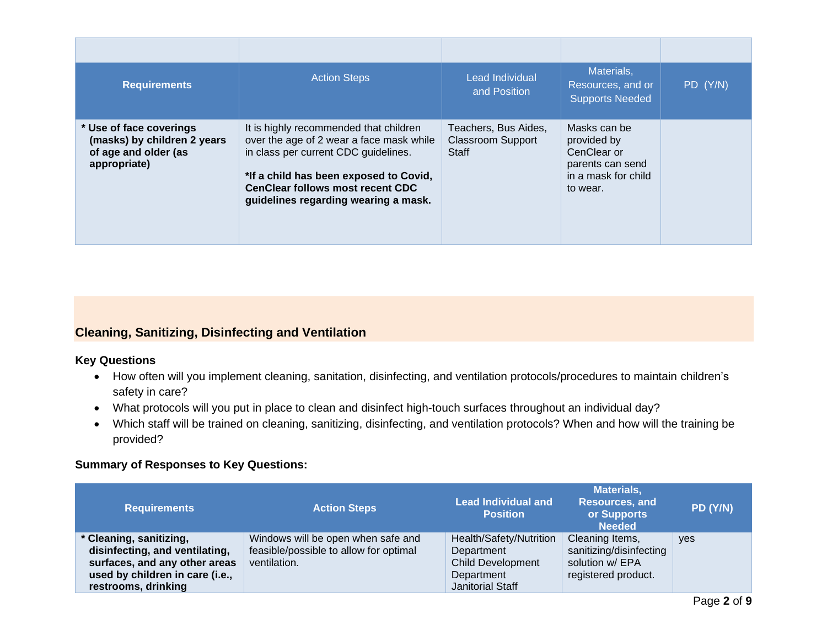| <b>Requirements</b>                                                                            | <b>Action Steps</b>                                                                                                                                                                                                                                     | Lead Individual<br>and Position                           | Materials,<br>Resources, and or<br><b>Supports Needed</b>                                         | PD (Y/N) |
|------------------------------------------------------------------------------------------------|---------------------------------------------------------------------------------------------------------------------------------------------------------------------------------------------------------------------------------------------------------|-----------------------------------------------------------|---------------------------------------------------------------------------------------------------|----------|
| * Use of face coverings<br>(masks) by children 2 years<br>of age and older (as<br>appropriate) | It is highly recommended that children<br>over the age of 2 wear a face mask while<br>in class per current CDC guidelines.<br>*If a child has been exposed to Covid,<br><b>CenClear follows most recent CDC</b><br>guidelines regarding wearing a mask. | Teachers, Bus Aides,<br><b>Classroom Support</b><br>Staff | Masks can be<br>provided by<br>CenClear or<br>parents can send<br>in a mask for child<br>to wear. |          |

## **Cleaning, Sanitizing, Disinfecting and Ventilation**

#### **Key Questions**

- How often will you implement cleaning, sanitation, disinfecting, and ventilation protocols/procedures to maintain children's safety in care?
- What protocols will you put in place to clean and disinfect high-touch surfaces throughout an individual day?
- Which staff will be trained on cleaning, sanitizing, disinfecting, and ventilation protocols? When and how will the training be provided?

| <b>Requirements</b>                                                                                                                                  | <b>Action Steps</b>                                                                          | <b>Lead Individual and</b><br><b>Position</b>                                                       | <b>Materials,</b><br><b>Resources, and</b><br>or Supports<br><b>Needed</b>           | PD (Y/N)   |
|------------------------------------------------------------------------------------------------------------------------------------------------------|----------------------------------------------------------------------------------------------|-----------------------------------------------------------------------------------------------------|--------------------------------------------------------------------------------------|------------|
| * Cleaning, sanitizing,<br>disinfecting, and ventilating,<br>surfaces, and any other areas<br>used by children in care (i.e.,<br>restrooms, drinking | Windows will be open when safe and<br>feasible/possible to allow for optimal<br>ventilation. | Health/Safety/Nutrition<br>Department<br><b>Child Development</b><br>Department<br>Janitorial Staff | Cleaning Items,<br>sanitizing/disinfecting<br>solution w/ EPA<br>registered product. | <b>ves</b> |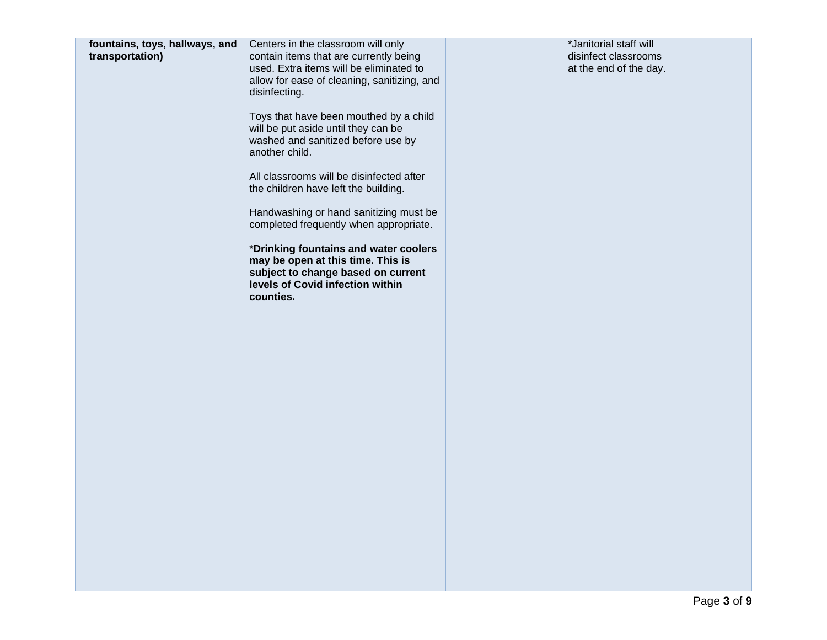| another child.<br>All classrooms will be disinfected after<br>the children have left the building.                                                                |  |
|-------------------------------------------------------------------------------------------------------------------------------------------------------------------|--|
|                                                                                                                                                                   |  |
| Handwashing or hand sanitizing must be<br>completed frequently when appropriate.                                                                                  |  |
| *Drinking fountains and water coolers<br>may be open at this time. This is<br>subject to change based on current<br>levels of Covid infection within<br>counties. |  |
|                                                                                                                                                                   |  |
|                                                                                                                                                                   |  |
|                                                                                                                                                                   |  |
|                                                                                                                                                                   |  |
|                                                                                                                                                                   |  |
|                                                                                                                                                                   |  |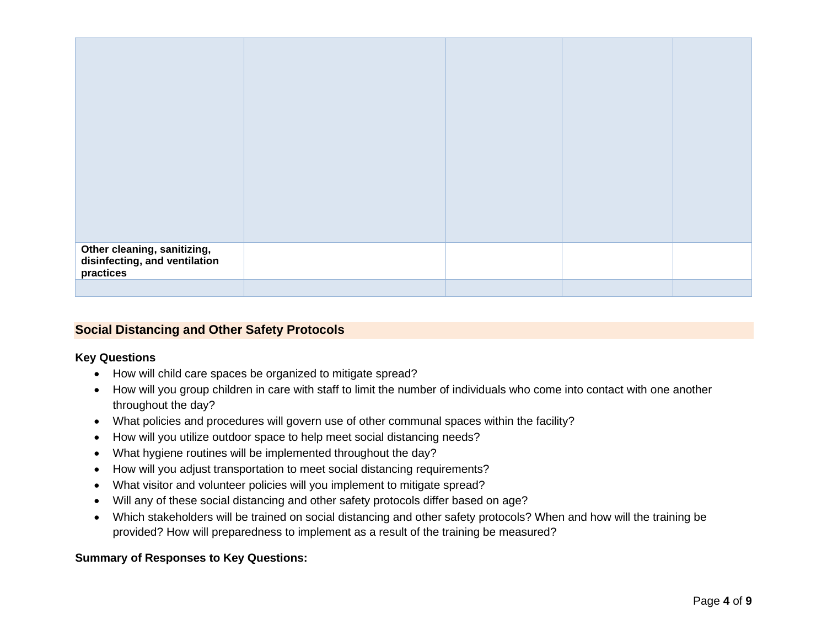| Other cleaning, sanitizing,<br>disinfecting, and ventilation<br>practices |  |  |
|---------------------------------------------------------------------------|--|--|
|                                                                           |  |  |

#### **Social Distancing and Other Safety Protocols**

#### **Key Questions**

- How will child care spaces be organized to mitigate spread?
- How will you group children in care with staff to limit the number of individuals who come into contact with one another throughout the day?
- What policies and procedures will govern use of other communal spaces within the facility?
- How will you utilize outdoor space to help meet social distancing needs?
- What hygiene routines will be implemented throughout the day?
- How will you adjust transportation to meet social distancing requirements?
- What visitor and volunteer policies will you implement to mitigate spread?
- Will any of these social distancing and other safety protocols differ based on age?
- Which stakeholders will be trained on social distancing and other safety protocols? When and how will the training be provided? How will preparedness to implement as a result of the training be measured?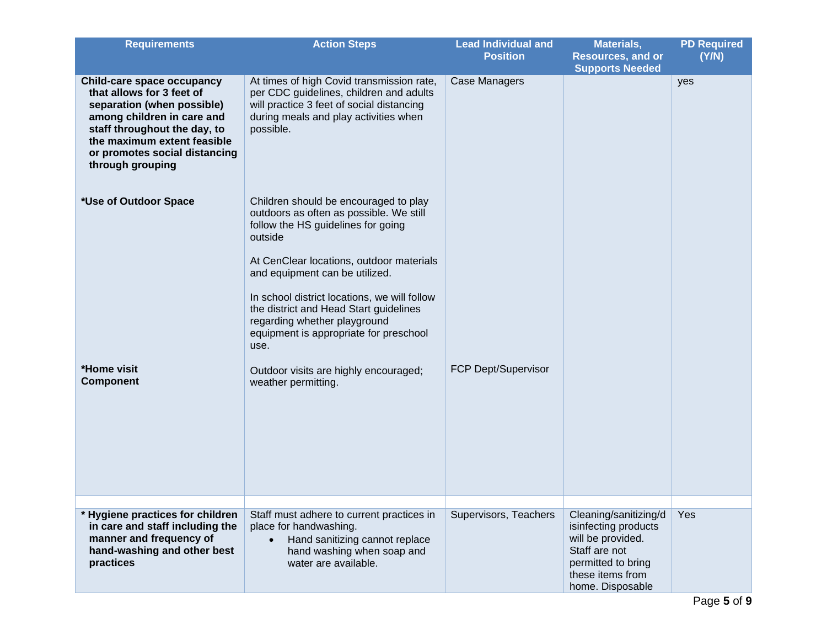| <b>Requirements</b>                                                                                                                                                                                                                     | <b>Action Steps</b>                                                                                                                                                                                                                                                                                                                                                                                                                                         | <b>Lead Individual and</b><br><b>Position</b> | Materials,<br><b>Resources, and or</b><br><b>Supports Needed</b>                                                                                  | <b>PD Required</b><br>(Y/N) |
|-----------------------------------------------------------------------------------------------------------------------------------------------------------------------------------------------------------------------------------------|-------------------------------------------------------------------------------------------------------------------------------------------------------------------------------------------------------------------------------------------------------------------------------------------------------------------------------------------------------------------------------------------------------------------------------------------------------------|-----------------------------------------------|---------------------------------------------------------------------------------------------------------------------------------------------------|-----------------------------|
| Child-care space occupancy<br>that allows for 3 feet of<br>separation (when possible)<br>among children in care and<br>staff throughout the day, to<br>the maximum extent feasible<br>or promotes social distancing<br>through grouping | At times of high Covid transmission rate,<br>per CDC guidelines, children and adults<br>will practice 3 feet of social distancing<br>during meals and play activities when<br>possible.                                                                                                                                                                                                                                                                     | Case Managers                                 |                                                                                                                                                   | yes                         |
| *Use of Outdoor Space<br>*Home visit<br><b>Component</b>                                                                                                                                                                                | Children should be encouraged to play<br>outdoors as often as possible. We still<br>follow the HS guidelines for going<br>outside<br>At CenClear locations, outdoor materials<br>and equipment can be utilized.<br>In school district locations, we will follow<br>the district and Head Start guidelines<br>regarding whether playground<br>equipment is appropriate for preschool<br>use.<br>Outdoor visits are highly encouraged;<br>weather permitting. | FCP Dept/Supervisor                           |                                                                                                                                                   |                             |
|                                                                                                                                                                                                                                         |                                                                                                                                                                                                                                                                                                                                                                                                                                                             |                                               |                                                                                                                                                   |                             |
| * Hygiene practices for children<br>in care and staff including the<br>manner and frequency of<br>hand-washing and other best<br>practices                                                                                              | Staff must adhere to current practices in<br>place for handwashing.<br>Hand sanitizing cannot replace<br>hand washing when soap and<br>water are available.                                                                                                                                                                                                                                                                                                 | Supervisors, Teachers                         | Cleaning/sanitizing/d<br>isinfecting products<br>will be provided.<br>Staff are not<br>permitted to bring<br>these items from<br>home. Disposable | Yes                         |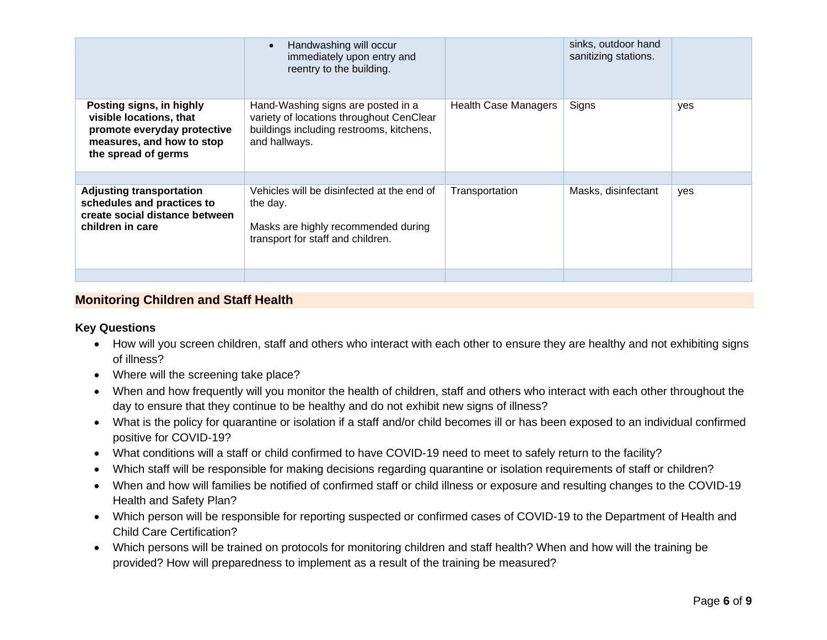|                                                                                                                                        | Handwashing will occur<br>$\bullet$<br>immediately upon entry and<br>reentry to the building.                                               |                      | sinks, outdoor hand<br>sanitizing stations. |     |
|----------------------------------------------------------------------------------------------------------------------------------------|---------------------------------------------------------------------------------------------------------------------------------------------|----------------------|---------------------------------------------|-----|
| Posting signs, in highly<br>visible locations, that<br>promote everyday protective<br>measures, and how to stop<br>the spread of germs | Hand-Washing signs are posted in a<br>variety of locations throughout CenClear<br>buildings including restrooms, kitchens,<br>and hallways. | Health Case Managers | Signs                                       | yes |
|                                                                                                                                        |                                                                                                                                             |                      |                                             |     |
| <b>Adjusting transportation</b><br>schedules and practices to<br>create social distance between<br>children in care                    | Vehicles will be disinfected at the end of<br>the day.<br>Masks are highly recommended during<br>transport for staff and children.          | Transportation       | Masks, disinfectant                         | yes |
|                                                                                                                                        |                                                                                                                                             |                      |                                             |     |

## **Monitoring Children and Staff Health**

#### **Key Questions**

- How will you screen children, staff and others who interact with each other to ensure they are healthy and not exhibiting signs of illness?
- Where will the screening take place?
- When and how frequently will you monitor the health of children, staff and others who interact with each other throughout the day to ensure that they continue to be healthy and do not exhibit new signs of illness?
- What is the policy for quarantine or isolation if a staff and/or child becomes ill or has been exposed to an individual confirmed positive for COVID-19?
- What conditions will a staff or child confirmed to have COVID-19 need to meet to safely return to the facility?
- Which staff will be responsible for making decisions regarding quarantine or isolation requirements of staff or children?
- When and how will families be notified of confirmed staff or child illness or exposure and resulting changes to the COVID-19 Health and Safety Plan?
- Which person will be responsible for reporting suspected or confirmed cases of COVID-19 to the Department of Health and Child Care Certification?
- Which persons will be trained on protocols for monitoring children and staff health? When and how will the training be provided? How will preparedness to implement as a result of the training be measured?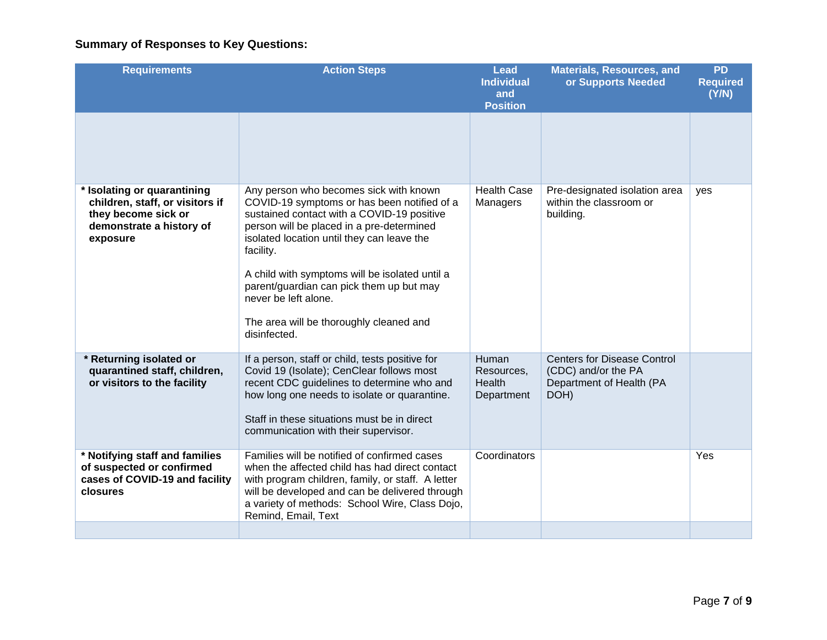| <b>Requirements</b>                                                                                                           | <b>Action Steps</b>                                                                                                                                                                                                                                                                                                                                                                                                          | Lead<br><b>Individual</b><br>and<br><b>Position</b> | <b>Materials, Resources, and</b><br>or Supports Needed                                        | <b>PD</b><br><b>Required</b><br>(Y/N) |
|-------------------------------------------------------------------------------------------------------------------------------|------------------------------------------------------------------------------------------------------------------------------------------------------------------------------------------------------------------------------------------------------------------------------------------------------------------------------------------------------------------------------------------------------------------------------|-----------------------------------------------------|-----------------------------------------------------------------------------------------------|---------------------------------------|
|                                                                                                                               |                                                                                                                                                                                                                                                                                                                                                                                                                              |                                                     |                                                                                               |                                       |
| * Isolating or quarantining<br>children, staff, or visitors if<br>they become sick or<br>demonstrate a history of<br>exposure | Any person who becomes sick with known<br>COVID-19 symptoms or has been notified of a<br>sustained contact with a COVID-19 positive<br>person will be placed in a pre-determined<br>isolated location until they can leave the<br>facility.<br>A child with symptoms will be isolated until a<br>parent/guardian can pick them up but may<br>never be left alone.<br>The area will be thoroughly cleaned and<br>disinfected. | <b>Health Case</b><br>Managers                      | Pre-designated isolation area<br>within the classroom or<br>building.                         | yes                                   |
| * Returning isolated or<br>quarantined staff, children,<br>or visitors to the facility                                        | If a person, staff or child, tests positive for<br>Covid 19 (Isolate); CenClear follows most<br>recent CDC guidelines to determine who and<br>how long one needs to isolate or quarantine.<br>Staff in these situations must be in direct<br>communication with their supervisor.                                                                                                                                            | Human<br>Resources.<br>Health<br>Department         | <b>Centers for Disease Control</b><br>(CDC) and/or the PA<br>Department of Health (PA<br>DOH) |                                       |
| * Notifying staff and families<br>of suspected or confirmed<br>cases of COVID-19 and facility<br>closures                     | Families will be notified of confirmed cases<br>when the affected child has had direct contact<br>with program children, family, or staff. A letter<br>will be developed and can be delivered through<br>a variety of methods: School Wire, Class Dojo,<br>Remind, Email, Text                                                                                                                                               | Coordinators                                        |                                                                                               | Yes                                   |
|                                                                                                                               |                                                                                                                                                                                                                                                                                                                                                                                                                              |                                                     |                                                                                               |                                       |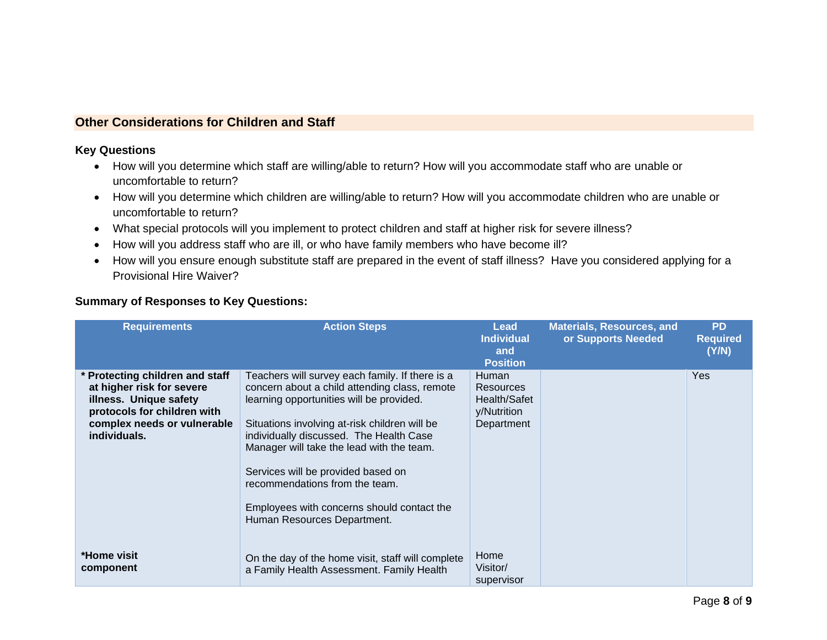## **Other Considerations for Children and Staff**

#### **Key Questions**

- How will you determine which staff are willing/able to return? How will you accommodate staff who are unable or uncomfortable to return?
- How will you determine which children are willing/able to return? How will you accommodate children who are unable or uncomfortable to return?
- What special protocols will you implement to protect children and staff at higher risk for severe illness?
- How will you address staff who are ill, or who have family members who have become ill?
- How will you ensure enough substitute staff are prepared in the event of staff illness? Have you considered applying for a Provisional Hire Waiver?

| <b>Requirements</b>                                                                                                                                                  | <b>Action Steps</b>                                                                                                                                                                                                                                                                                                                                                                                                                        | Lead<br><b>Individual</b><br>and<br><b>Position</b>                    | <b>Materials, Resources, and</b><br>or Supports Needed | <b>PD</b><br><b>Required</b><br>(Y/N) |
|----------------------------------------------------------------------------------------------------------------------------------------------------------------------|--------------------------------------------------------------------------------------------------------------------------------------------------------------------------------------------------------------------------------------------------------------------------------------------------------------------------------------------------------------------------------------------------------------------------------------------|------------------------------------------------------------------------|--------------------------------------------------------|---------------------------------------|
| * Protecting children and staff<br>at higher risk for severe<br>illness. Unique safety<br>protocols for children with<br>complex needs or vulnerable<br>individuals. | Teachers will survey each family. If there is a<br>concern about a child attending class, remote<br>learning opportunities will be provided.<br>Situations involving at-risk children will be<br>individually discussed. The Health Case<br>Manager will take the lead with the team.<br>Services will be provided based on<br>recommendations from the team.<br>Employees with concerns should contact the<br>Human Resources Department. | <b>Human</b><br>Resources<br>Health/Safet<br>y/Nutrition<br>Department |                                                        | <b>Yes</b>                            |
| *Home visit<br>component                                                                                                                                             | On the day of the home visit, staff will complete<br>a Family Health Assessment. Family Health                                                                                                                                                                                                                                                                                                                                             | Home<br>Visitor/<br>supervisor                                         |                                                        |                                       |